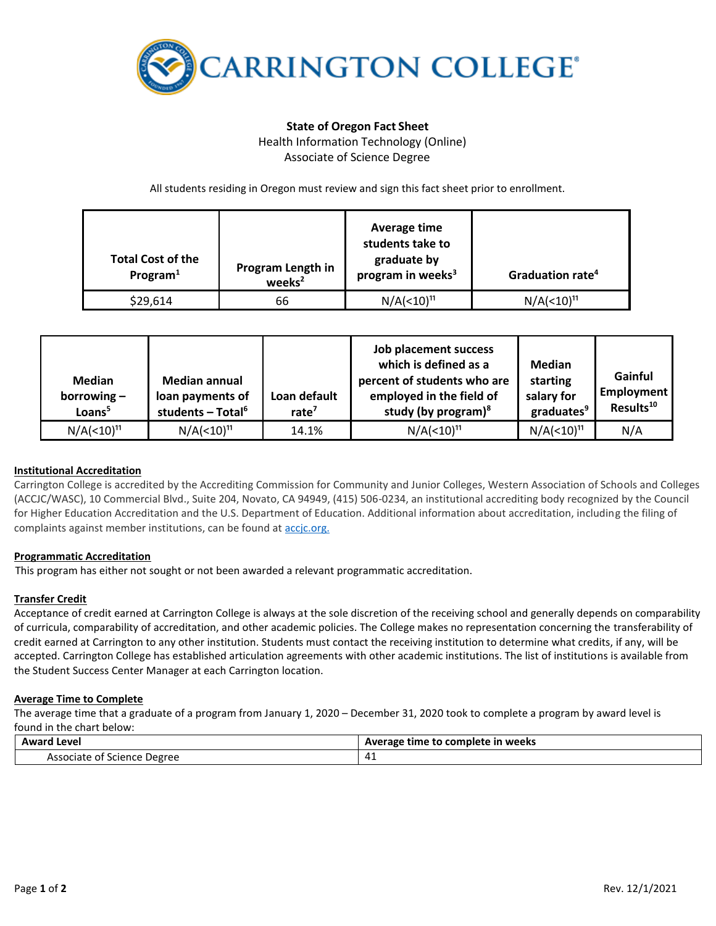

# **State of Oregon Fact Sheet** Health Information Technology (Online) Associate of Science Degree

All students residing in Oregon must review and sign this fact sheet prior to enrollment.

| <b>Total Cost of the</b><br>Program $1$ | Program Length in<br>weeks <sup>2</sup> | Average time<br>students take to<br>graduate by<br>program in weeks <sup>3</sup> | Graduation rate <sup>4</sup>       |
|-----------------------------------------|-----------------------------------------|----------------------------------------------------------------------------------|------------------------------------|
| \$29,614                                | 66                                      | N/A( <sub>10</sub> ) <sup>11</sup>                                               | N/A( <sub>10</sub> ) <sup>11</sup> |

| <b>Median</b><br>borrowing $-$<br>Loans <sup>5</sup> | <b>Median annual</b><br>loan payments of<br>students - Total <sup>6</sup> | Loan default<br>rate $7$ | Job placement success<br>which is defined as a<br>percent of students who are<br>employed in the field of<br>study (by program) $8$ | Median<br>starting<br>salary for<br>graduates <sup>9</sup> | Gainful<br>Employment<br>Results <sup>10</sup> |
|------------------------------------------------------|---------------------------------------------------------------------------|--------------------------|-------------------------------------------------------------------------------------------------------------------------------------|------------------------------------------------------------|------------------------------------------------|
| N/A( <sub>10</sub> ) <sup>11</sup>                   | N/A( <sub>10</sub> ) <sup>11</sup>                                        | 14.1%                    | N/A( <sub>10</sub> ) <sup>11</sup>                                                                                                  | $N/A(< 10)^{11}$                                           | N/A                                            |

## **Institutional Accreditation**

Carrington College is accredited by the Accrediting Commission for Community and Junior Colleges, Western Association of Schools and Colleges (ACCJC/WASC), 10 Commercial Blvd., Suite 204, Novato, CA 94949, (415) 506-0234, an institutional accrediting body recognized by the Council for Higher Education Accreditation and the U.S. Department of Education. Additional information about accreditation, including the filing of complaints against member institutions, can be found a[t accjc.org.](http://www.accjc.org/)

## **Programmatic Accreditation**

This program has either not sought or not been awarded a relevant programmatic accreditation.

### **Transfer Credit**

Acceptance of credit earned at Carrington College is always at the sole discretion of the receiving school and generally depends on comparability of curricula, comparability of accreditation, and other academic policies. The College makes no representation concerning the transferability of credit earned at Carrington to any other institution. Students must contact the receiving institution to determine what credits, if any, will be accepted. Carrington College has established articulation agreements with other academic institutions. The list of institutions is available from the Student Success Center Manager at each Carrington location.

### **Average Time to Complete**

The average time that a graduate of a program from January 1, 2020 – December 31, 2020 took to complete a program by award level is found in the chart below:

| Award        | etime to complete in weeks ! |  |
|--------------|------------------------------|--|
| Level        | Average                      |  |
|              | - - -                        |  |
| Associate    | 4                            |  |
| of Science ! | – ⊤ —                        |  |
| : Degree     |                              |  |